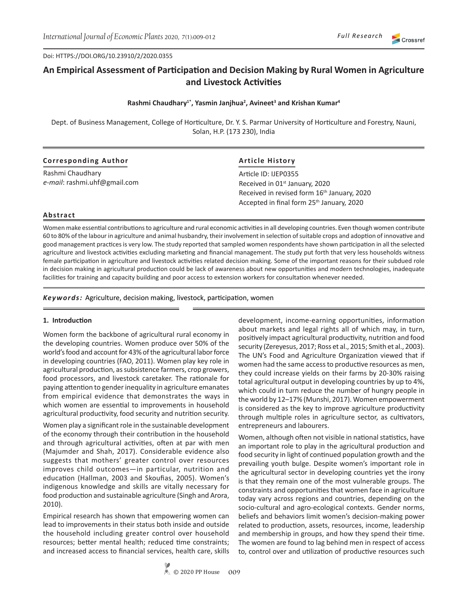Doi: HTTPS://DOI.ORG/10.23910/2/2020.0355

# **An Empirical Assessment of Participation and Decision Making by Rural Women in Agriculture and Livestock Activities**

## **Rashmi Chaudhary1\*, Yasmin Janjhua<sup>2</sup> , Avineet<sup>3</sup> and Krishan Kumar<sup>4</sup>**

Dept. of Business Management, College of Horticulture, Dr. Y. S. Parmar University of Horticulture and Forestry, Nauni, Solan, H.P. (173 230), India

| <b>Corresponding Author</b>  | <b>Article History</b>                                             |  |  |  |  |  |
|------------------------------|--------------------------------------------------------------------|--|--|--|--|--|
| Rashmi Chaudhary             | Article ID: IJEP0355<br>Received in 01 <sup>st</sup> January, 2020 |  |  |  |  |  |
| e-mail: rashmi.uhf@gmail.com |                                                                    |  |  |  |  |  |
|                              | Received in revised form 16 <sup>th</sup> January, 2020            |  |  |  |  |  |
|                              | Accepted in final form 25 <sup>th</sup> January, 2020              |  |  |  |  |  |

## **Abstract**

Women make essential contributions to agriculture and rural economic activities in all developing countries. Even though women contribute 60 to 80% of the labour in agriculture and animal husbandry, their involvement in selection of suitable crops and adoption of innovative and good management practices is very low. The study reported that sampled women respondents have shown participation in all the selected agriculture and livestock activities excluding marketing and financial management. The study put forth that very less households witness female participation in agriculture and livestock activities related decision making. Some of the important reasons for their subdued role in decision making in agricultural production could be lack of awareness about new opportunities and modern technologies, inadequate facilities for training and capacity building and poor access to extension workers for consultation whenever needed.

*Keywords:* Agriculture, decision making, livestock, participation, women

## **1. Introduction**

Women form the backbone of agricultural rural economy in the developing countries. Women produce over 50% of the world's food and account for 43% of the agricultural labor force in developing countries (FAO, 2011). Women play key role in agricultural production, as subsistence farmers, crop growers, food processors, and livestock caretaker. The rationale for paying attention to gender inequality in agriculture emanates from empirical evidence that demonstrates the ways in which women are essential to improvements in household agricultural productivity, food security and nutrition security.

Women play a significant role in the sustainable development of the economy through their contribution in the household and through agricultural activities, often at par with men (Majumder and Shah, 2017). Considerable evidence also suggests that mothers' greater control over resources improves child outcomes—in particular, nutrition and education (Hallman, 2003 and Skoufias, 2005). Women's indigenous knowledge and skills are vitally necessary for food production and sustainable agriculture (Singh and Arora, 2010).

Empirical research has shown that empowering women can lead to improvements in their status both inside and outside the household including greater control over household resources; better mental health; reduced time constraints; and increased access to financial services, health care, skills development, income-earning opportunities, information about markets and legal rights all of which may, in turn, positively impact agricultural productivity, nutrition and food security (Zereyesus, 2017; Ross et al., 2015; Smith et al., 2003). The UN's Food and Agriculture Organization viewed that if women had the same access to productive resources as men, they could increase yields on their farms by 20-30% raising total agricultural output in developing countries by up to 4%, which could in turn reduce the number of hungry people in the world by 12–17% (Munshi, 2017). Women empowerment is considered as the key to improve agriculture productivity through multiple roles in agriculture sector, as cultivators, entrepreneurs and labourers.

Women, although often not visible in national statistics, have an important role to play in the agricultural production and food security in light of continued population growth and the prevailing youth bulge. Despite women's important role in the agricultural sector in developing countries yet the irony is that they remain one of the most vulnerable groups. The constraints and opportunities that women face in agriculture today vary across regions and countries, depending on the socio-cultural and agro-ecological contexts. Gender norms, beliefs and behaviors limit women's decision-making power related to production, assets, resources, income, leadership and membership in groups, and how they spend their time. The women are found to lag behind men in respect of access to, control over and utilization of productive resources such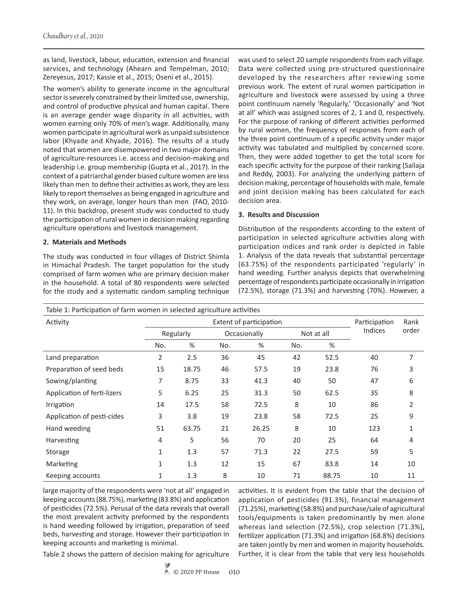as land, livestock, labour, education, extension and financial services, and technology (Ahearn and Tempelman, 2010; Zereyesus, 2017; Kassie et al., 2015; Oseni et al., 2015).

The women's ability to generate income in the agricultural sector is severely constrained by their limited use, ownership, and control of productive physical and human capital. There is an average gender wage disparity in all activities, with women earning only 70% of men's wage. Additionally, many women participate in agricultural work as unpaid subsistence labor (Khyade and Khyade, 2016). The results of a study noted that women are disempowered in two major domains of agriculture-resources i.e. access and decision-making and leadership i.e. group membership (Gupta et al., 2017). In the context of a patriarchal gender biased culture women are less likely than men to define their activities as work, they are less likely to report themselves as being engaged in agriculture and they work, on average, longer hours than men (FAO, 2010- 11). In this backdrop, present study was conducted to study the participation of rural women in decision making regarding agriculture operations and livestock management.

# **2. Materials and Methods**

The study was conducted in four villages of District Shimla in Himachal Pradesh. The target population for the study comprised of farm women who are primary decision maker in the household. A total of 80 respondents were selected for the study and a systematic random sampling technique was used to select 20 sample respondents from each village. Data were collected using pre-structured questionnaire developed by the researchers after reviewing some previous work. The extent of rural women participation in agriculture and livestock were assessed by using a three point continuum namely 'Regularly,' 'Occasionally' and 'Not at all' which was assigned scores of 2, 1 and 0, respectively. For the purpose of ranking of different activities performed by rural women, the frequency of responses from each of the three point continuum of a specific activity under major activity was tabulated and multiplied by concerned score. Then, they were added together to get the total score for each specific activity for the purpose of their ranking (Sailaja and Reddy, 2003). For analyzing the underlying pattern of decision making, percentage of households with male, female and joint decision making has been calculated for each decision area.

# **3. Results and Discussion**

Distribution of the respondents according to the extent of participation in selected agriculture activities along with participation indices and rank order is depicted in Table 1. Analysis of the data reveals that substantial percentage (63.75%) of the respondents participated 'regularly' in hand weeding. Further analysis depicts that overwhelming percentage of respondents participate occasionally in irrigation (72.5%), storage (71.3%) and harvesting (70%). However, a

| Table 1: Participation of farm women in selected agriculture activities |           |       |               |       |            |       |                |              |  |
|-------------------------------------------------------------------------|-----------|-------|---------------|-------|------------|-------|----------------|--------------|--|
| Activity                                                                |           |       | Participation | Rank  |            |       |                |              |  |
|                                                                         | Regularly |       | Occasionally  |       | Not at all |       | <b>Indices</b> | order        |  |
|                                                                         | No.       | %     | No.           | %     | No.        | %     |                |              |  |
| Land preparation                                                        | 2         | 2.5   | 36            | 45    | 42         | 52.5  | 40             | 7            |  |
| Preparation of seed beds                                                | 15        | 18.75 | 46            | 57.5  | 19         | 23.8  | 76             | 3            |  |
| Sowing/planting                                                         | 7         | 8.75  | 33            | 41.3  | 40         | 50    | 47             | 6            |  |
| Application of ferti-lizers                                             | 5         | 6.25  | 25            | 31.3  | 50         | 62.5  | 35             | 8            |  |
| Irrigation                                                              | 14        | 17.5  | 58            | 72.5  | 8          | 10    | 86             | 2            |  |
| Application of pesti-cides                                              | 3         | 3.8   | 19            | 23.8  | 58         | 72.5  | 25             | 9            |  |
| Hand weeding                                                            | 51        | 63.75 | 21            | 26.25 | 8          | 10    | 123            | $\mathbf{1}$ |  |
| Harvesting                                                              | 4         | 5     | 56            | 70    | 20         | 25    | 64             | 4            |  |
| Storage                                                                 | 1         | 1.3   | 57            | 71.3  | 22         | 27.5  | 59             | 5            |  |
| Marketing                                                               | 1         | 1.3   | 12            | 15    | 67         | 83.8  | 14             | 10           |  |
| Keeping accounts                                                        | 1         | 1.3   | 8             | 10    | 71         | 88.75 | 10             | 11           |  |

large majority of the respondents were 'not at all' engaged in keeping accounts (88.75%), marketing (83.8%) and application of pesticides (72.5%). Perusal of the data reveals that overall the most prevalent activity preformed by the respondents is hand weeding followed by irrigation, preparation of seed beds, harvesting and storage. However their participation in keeping accounts and marketing is minimal.

activities. It is evident from the table that the decision of application of pesticides (91.3%), financial management (71.25%), marketing (58.8%) and purchase/sale of agricultural tools/equipments is taken predominantly by men alone whereas land selection (72.5%), crop selection (71.3%), fertilizer application (71.3%) and irrigation (68.8%) decisions are taken jointly by men and women in majority households. Further, it is clear from the table that very less households

Table 2 shows the pattern of decision making for agriculture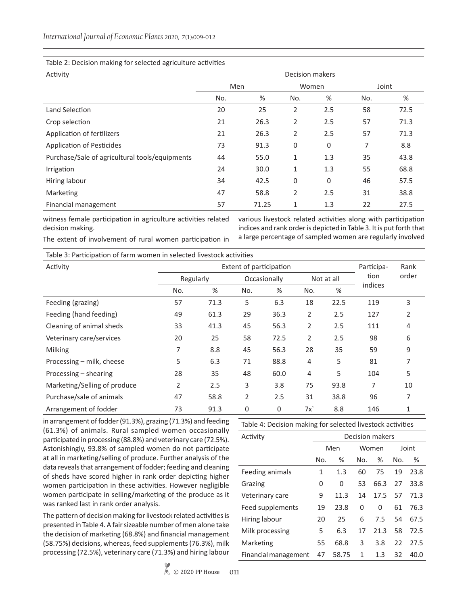## Table 2: Decision making for selected agriculture activities

| Activity                                       | Decision makers |       |             |              |       |      |  |  |  |
|------------------------------------------------|-----------------|-------|-------------|--------------|-------|------|--|--|--|
|                                                | Men             |       | Women       |              | Joint |      |  |  |  |
|                                                | No.             | %     | No.         | %            | No.   | %    |  |  |  |
| Land Selection                                 | 20              | 25    | 2           | 2.5          | 58    | 72.5 |  |  |  |
| Crop selection                                 | 21              | 26.3  | 2           | 2.5          | 57    | 71.3 |  |  |  |
| Application of fertilizers                     | 21              | 26.3  | 2           | 2.5          | 57    | 71.3 |  |  |  |
| Application of Pesticides                      | 73              | 91.3  | $\mathbf 0$ | $\mathbf 0$  | 7     | 8.8  |  |  |  |
| Purchase/Sale of agricultural tools/equipments | 44              | 55.0  | 1           | 1.3          | 35    | 43.8 |  |  |  |
| Irrigation                                     | 24              | 30.0  | 1           | 1.3          | 55    | 68.8 |  |  |  |
| Hiring labour                                  | 34              | 42.5  | $\mathbf 0$ | $\mathbf{0}$ | 46    | 57.5 |  |  |  |
| Marketing                                      | 47              | 58.8  | 2           | 2.5          | 31    | 38.8 |  |  |  |
| Financial management                           | 57              | 71.25 | 1           | 1.3          | 22    | 27.5 |  |  |  |

witness female participation in agriculture activities related decision making.

various livestock related activities along with participation indices and rank order is depicted in Table 3. It is put forth that a large percentage of sampled women are regularly involved

The extent of involvement of rural women participation in

Table 3: Participation of farm women in selected livestock activities

| Activity                     | Extent of participation |      |              |      |            |      | Participa- | Rank  |
|------------------------------|-------------------------|------|--------------|------|------------|------|------------|-------|
|                              | Regularly               |      | Occasionally |      | Not at all |      | tion       | order |
|                              | No.                     | %    | No.          | %    | No.        | %    | indices    |       |
| Feeding (grazing)            | 57                      | 71.3 | 5            | 6.3  | 18         | 22.5 | 119        | 3     |
| Feeding (hand feeding)       | 49                      | 61.3 | 29           | 36.3 | 2          | 2.5  | 127        | 2     |
| Cleaning of animal sheds     | 33                      | 41.3 | 45           | 56.3 | 2          | 2.5  | 111        | 4     |
| Veterinary care/services     | 20                      | 25   | 58           | 72.5 | 2          | 2.5  | 98         | 6     |
| Milking                      | 7                       | 8.8  | 45           | 56.3 | 28         | 35   | 59         | 9     |
| Processing – milk, cheese    | 5                       | 6.3  | 71           | 88.8 | 4          | 5    | 81         | 7     |
| Processing – shearing        | 28                      | 35   | 48           | 60.0 | 4          | 5    | 104        | 5     |
| Marketing/Selling of produce | $\overline{2}$          | 2.5  | 3            | 3.8  | 75         | 93.8 | 7          | 10    |
| Purchase/sale of animals     | 47                      | 58.8 | 2            | 2.5  | 31         | 38.8 | 96         | 7     |
| Arrangement of fodder        | 73                      | 91.3 | $\mathbf{0}$ | 0    | 7x         | 8.8  | 146        | 1     |

in arrangement of fodder (91.3%), grazing (71.3%) and feeding (61.3%) of animals. Rural sampled women occasionally participated in processing (88.8%) and veterinary care (72.5%). Astonishingly, 93.8% of sampled women do not participate at all in marketing/selling of produce. Further analysis of the data reveals that arrangement of fodder; feeding and cleaning of sheds have scored higher in rank order depicting higher women participation in these activities. However negligible women participate in selling/marketing of the produce as it was ranked last in rank order analysis.

The pattern of decision making for livestock related activities is presented in Table 4. A fair sizeable number of men alone take the decision of marketing (68.8%) and financial management (58.75%) decisions, whereas, feed supplements (76.3%), milk processing (72.5%), veterinary care (71.3%) and hiring labour

Table 4: Decision making for selected livestock activities

| Activity             | <b>Decision makers</b> |       |       |      |       |      |  |
|----------------------|------------------------|-------|-------|------|-------|------|--|
|                      | Men                    |       | Women |      | Joint |      |  |
|                      | No.                    | %     | No.   | ℅    | No.   | %    |  |
| Feeding animals      | 1                      | 1.3   | 60    | 75   | 19    | 23.8 |  |
| Grazing              | 0                      | 0     | 53    | 66.3 | 27    | 33.8 |  |
| Veterinary care      | 9                      | 11.3  | 14    | 17.5 | 57    | 71.3 |  |
| Feed supplements     | 19                     | 23.8  | 0     | 0    | 61    | 76.3 |  |
| Hiring labour        | 20                     | 25    | 6     | 7.5  | 54    | 67.5 |  |
| Milk processing      | 5                      | 6.3   | 17    | 21.3 | 58    | 72.5 |  |
| Marketing            | 55                     | 68.8  | 3     | 3.8  | 22    | 27.5 |  |
| Financial management | 47                     | 58.75 | 1     | 1.3  | 32    | 40.0 |  |

 $\&$  © 2020 PP House **011**